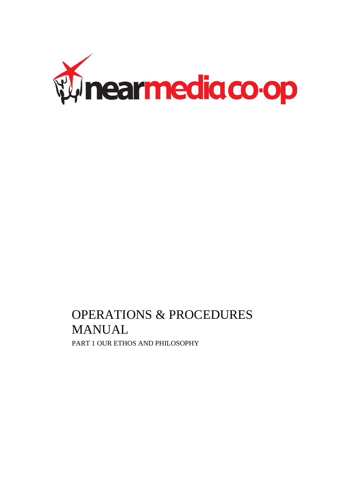

# OPERATIONS & PROCEDURES MANUAL PART 1 OUR ETHOS AND PHILOSOPHY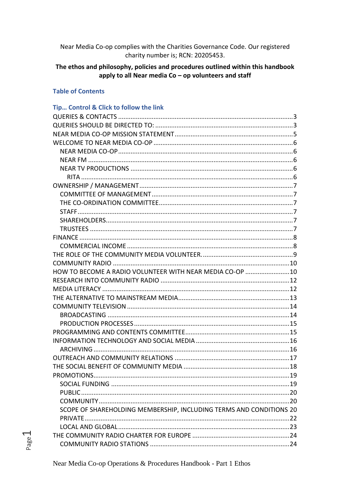Near Media Co-op complies with the Charities Governance Code. Our registered charity number is; RCN: 20205453.

#### The ethos and philosophy, policies and procedures outlined within this handbook apply to all Near media  $Co$  – op volunteers and staff

#### **Table of Contents**

## Tip... Control & Click to follow the link HOW TO BECOME A RADIO VOLUNTEER WITH NEAR MEDIA CO-OP ........................10 SCOPE OF SHAREHOLDING MEMBERSHIP, INCLUDING TERMS AND CONDITIONS 20

Leaeo

Near Media Co-op Operations & Procedures Handbook - Part 1 Ethos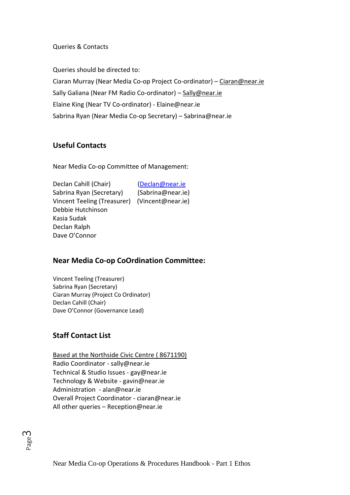Queries & Contacts

<span id="page-3-1"></span>Queries should be directed to:

Ciaran Murray (Near Media Co-op Project Co-ordinator) – [Ciaran@near.ie](mailto:Ciaran@near.ie) Sally Galiana (Near FM Radio Co-ordinator) - [Sally@near.ie](mailto:Sally@near.ie) Elaine King (Near TV Co-ordinator) - Elaine@near.ie Sabrina Ryan (Near Media Co-op Secretary) – Sabrina@near.ie

## **Useful Contacts**

Near Media Co-op Committee of Management:

Declan Cahill (Chair) [\(Declan@near.ie](mailto:Declan@near.ie) Sabrina Ryan (Secretary) (Sabrina@near.ie) Vincent Teeling (Treasurer) (Vincent@near.ie) Debbie Hutchinson Kasia Sudak Declan Ralph Dave O'Connor

## **Near Media Co-op CoOrdination Committee:**

Vincent Teeling (Treasurer) Sabrina Ryan (Secretary) Ciaran Murray (Project Co Ordinator) Declan Cahill (Chair) Dave O'Connor (Governance Lead)

## <span id="page-3-0"></span>**Staff Contact List**

Based at the Northside Civic Centre ( 8671190) Radio Coordinator - sally@near.ie Technical & Studio Issues - gay@near.ie Technology & Website - gavin@near.ie Administration - alan@near.ie Overall Project Coordinator - ciaran@near.ie All other queries – Reception@near.ie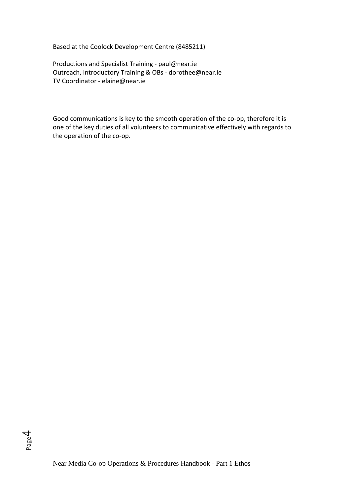#### Based at the Coolock Development Centre (8485211)

Productions and Specialist Training - paul@near.ie Outreach, Introductory Training & OBs - dorothee@near.ie TV Coordinator - elaine@near.ie

Good communications is key to the smooth operation of the co-op, therefore it is one of the key duties of all volunteers to communicative effectively with regards to the operation of the co-op.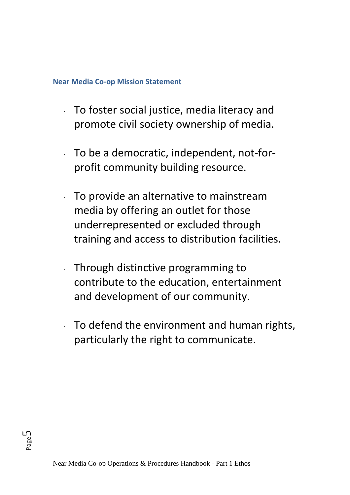## <span id="page-5-0"></span>**Near Media Co-op Mission Statement**

- · To foster social justice, media literacy and promote civil society ownership of media.
- · To be a democratic, independent, not-forprofit community building resource.
- To provide an alternative to mainstream media by offering an outlet for those underrepresented or excluded through training and access to distribution facilities.
- · Through distinctive programming to contribute to the education, entertainment and development of our community.
- To defend the environment and human rights, particularly the right to communicate.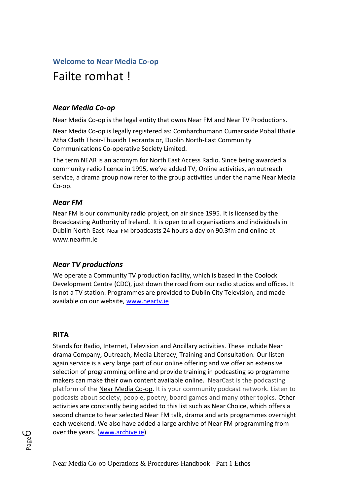## <span id="page-6-0"></span>**Welcome to Near Media Co-op**

## Failte romhat !

## <span id="page-6-1"></span>*Near Media Co-op*

Near Media Co-op is the legal entity that owns Near FM and Near TV Productions.

Near Media Co-op is legally registered as: Comharchumann Cumarsaide Pobal Bhaile Atha Cliath Thoir-Thuaidh Teoranta or, Dublin North-East Community Communications Co-operative Society Limited.

The term NEAR is an acronym for North East Access Radio. Since being awarded a community radio licence in 1995, we've added TV, Online activities, an outreach service, a drama group now refer to the group activities under the name Near Media Co-op.

## <span id="page-6-2"></span>*Near FM*

Near FM is our community radio project, on air since 1995. It is licensed by the Broadcasting Authority of Ireland. It is open to all organisations and individuals in Dublin North-East. Near FM broadcasts 24 hours a day on 90.3fm and online at www.nearfm.ie

## <span id="page-6-3"></span>*Near TV productions*

We operate a Community TV production facility, which is based in the Coolock Development Centre (CDC), just down the road from our radio studios and offices. It is not a TV station. Programmes are provided to Dublin City Television, and made available on our website, [www.neartv.ie](http://www.neartv.ie/)

## <span id="page-6-4"></span>**RITA**

Stands for Radio, Internet, Television and Ancillary activities. These include Near drama Company, Outreach, Media Literacy, Training and Consultation. Our listen again service is a very large part of our online offering and we offer an extensive selection of programming online and provide training in podcasting so programme makers can make their own content available online. NearCast is the podcasting platform of the [Near Media Co-op.](http://www.near.ie/) It is your community podcast network. Listen to podcasts about society, people, poetry, board games and many other topics. Other activities are constantly being added to this list such as Near Choice, which offers a second chance to hear selected Near FM talk, drama and arts programmes overnight each weekend. We also have added a large archive of Near FM programming from over the years. [\(www.archive.ie\)](http://www.archive.ie/)

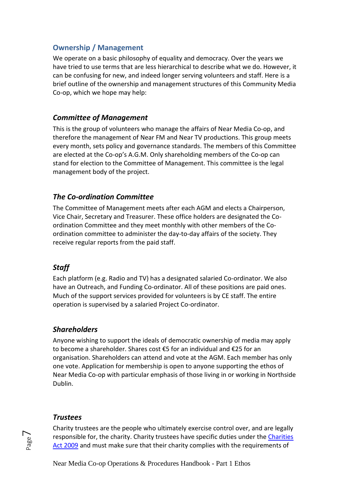## <span id="page-7-0"></span>**Ownership / Management**

We operate on a basic philosophy of equality and democracy. Over the years we have tried to use terms that are less hierarchical to describe what we do. However, it can be confusing for new, and indeed longer serving volunteers and staff. Here is a brief outline of the ownership and management structures of this Community Media Co-op, which we hope may help:

## <span id="page-7-1"></span>*Committee of Management*

This is the group of volunteers who manage the affairs of Near Media Co-op, and therefore the management of Near FM and Near TV productions. This group meets every month, sets policy and governance standards. The members of this Committee are elected at the Co-op's A.G.M. Only shareholding members of the Co-op can stand for election to the Committee of Management. This committee is the legal management body of the project.

## <span id="page-7-2"></span>*The Co-ordination Committee*

The Committee of Management meets after each AGM and elects a Chairperson, Vice Chair, Secretary and Treasurer. These office holders are designated the Coordination Committee and they meet monthly with other members of the Coordination committee to administer the day-to-day affairs of the society. They receive regular reports from the paid staff.

## <span id="page-7-3"></span>*Staff*

Each platform (e.g. Radio and TV) has a designated salaried Co-ordinator. We also have an Outreach, and Funding Co-ordinator. All of these positions are paid ones. Much of the support services provided for volunteers is by CE staff. The entire operation is supervised by a salaried Project Co-ordinator.

## <span id="page-7-4"></span>*Shareholders*

Anyone wishing to support the ideals of democratic ownership of media may apply to become a shareholder. Shares cost €5 for an individual and €25 for an organisation. Shareholders can attend and vote at the AGM. Each member has only one vote. Application for membership is open to anyone supporting the ethos of Near Media Co-op with particular emphasis of those living in or working in Northside Dublin.

## <span id="page-7-5"></span>*Trustees*

Charity trustees are the people who ultimately exercise control over, and are legally responsible for, the charity. Charity trustees have specific duties under the [Charities](http://www.irishstatutebook.ie/eli/2009/act/6/enacted/en/html)  [Act 2009](http://www.irishstatutebook.ie/eli/2009/act/6/enacted/en/html) and must make sure that their charity complies with the requirements of

Near Media Co-op Operations & Procedures Handbook - Part 1 Ethos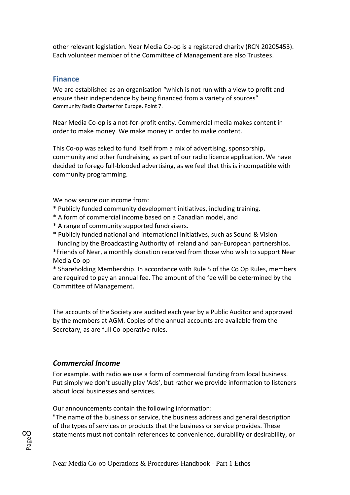other relevant legislation. Near Media Co-op is a registered charity (RCN 20205453). Each volunteer member of the Committee of Management are also Trustees.

#### <span id="page-8-0"></span>**Finance**

We are established as an organisation "which is not run with a view to profit and ensure their independence by being financed from a variety of sources" Community Radio Charter for Europe. Point 7.

Near Media Co-op is a not-for-profit entity. Commercial media makes content in order to make money. We make money in order to make content.

This Co-op was asked to fund itself from a mix of advertising, sponsorship, community and other fundraising, as part of our radio licence application. We have decided to forego full-blooded advertising, as we feel that this is incompatible with community programming.

We now secure our income from:

- \* Publicly funded community development initiatives, including training.
- \* A form of commercial income based on a Canadian model, and
- \* A range of community supported fundraisers.
- \* Publicly funded national and international initiatives, such as Sound & Vision funding by the Broadcasting Authority of Ireland and pan-European partnerships.

\*Friends of Near, a monthly donation received from those who wish to support Near Media Co-op

\* Shareholding Membership. In accordance with Rule 5 of the Co Op Rules, members are required to pay an annual fee. The amount of the fee will be determined by the Committee of Management.

The accounts of the Society are audited each year by a Public Auditor and approved by the members at AGM. Copies of the annual accounts are available from the Secretary, as are full Co-operative rules.

#### <span id="page-8-1"></span>*Commercial Income*

For example. with radio we use a form of commercial funding from local business. Put simply we don't usually play 'Ads', but rather we provide information to listeners about local businesses and services.

Our announcements contain the following information:

"The name of the business or service, the business address and general description of the types of services or products that the business or service provides. These statements must not contain references to convenience, durability or desirability, or

Page  $\infty$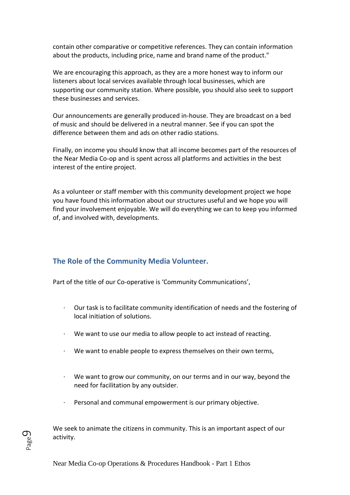contain other comparative or competitive references. They can contain information about the products, including price, name and brand name of the product."

We are encouraging this approach, as they are a more honest way to inform our listeners about local services available through local businesses, which are supporting our community station. Where possible, you should also seek to support these businesses and services.

Our announcements are generally produced in-house. They are broadcast on a bed of music and should be delivered in a neutral manner. See if you can spot the difference between them and ads on other radio stations.

Finally, on income you should know that all income becomes part of the resources of the Near Media Co-op and is spent across all platforms and activities in the best interest of the entire project.

As a volunteer or staff member with this community development project we hope you have found this information about our structures useful and we hope you will find your involvement enjoyable. We will do everything we can to keep you informed of, and involved with, developments.

## <span id="page-9-0"></span>**The Role of the Community Media Volunteer.**

Part of the title of our Co-operative is 'Community Communications',

- · Our task is to facilitate community identification of needs and the fostering of local initiation of solutions.
- We want to use our media to allow people to act instead of reacting.
- · We want to enable people to express themselves on their own terms,
- We want to grow our community, on our terms and in our way, beyond the need for facilitation by any outsider.
- Personal and communal empowerment is our primary objective.

We seek to animate the citizens in community. This is an important aspect of our activity.

Page  $\mathcal O$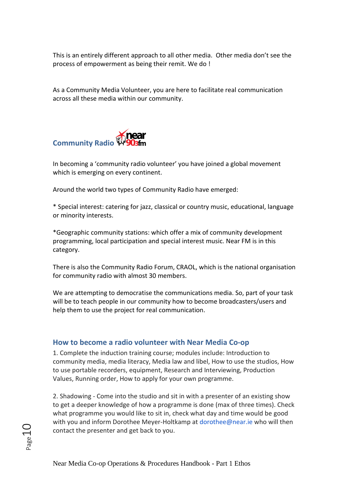This is an entirely different approach to all other media. Other media don't see the process of empowerment as being their remit. We do !

As a Community Media Volunteer, you are here to facilitate real communication across all these media within our community.

<span id="page-10-0"></span>

In becoming a 'community radio volunteer' you have joined a global movement which is emerging on every continent.

Around the world two types of Community Radio have emerged:

\* Special interest: catering for jazz, classical or country music, educational, language or minority interests.

\*Geographic community stations: which offer a mix of community development programming, local participation and special interest music. Near FM is in this category.

There is also the Community Radio Forum, CRAOL, which is the national organisation for community radio with almost 30 members.

We are attempting to democratise the communications media. So, part of your task will be to teach people in our community how to become broadcasters/users and help them to use the project for real communication.

#### <span id="page-10-1"></span>**How to become a radio volunteer with Near Media Co-op**

1. Complete the induction training course; modules include: Introduction to community media, media literacy, Media law and libel, How to use the studios, How to use portable recorders, equipment, Research and Interviewing, Production Values, Running order, How to apply for your own programme.

2. Shadowing - Come into the studio and sit in with a presenter of an existing show to get a deeper knowledge of how a programme is done (max of three times). Check what programme you would like to sit in, check what day and time would be good with you and inform Dorothee Meyer-Holtkamp at dorothee@near.ie who will then contact the presenter and get back to you.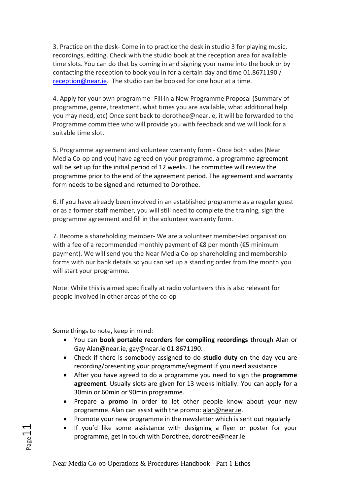3. Practice on the desk- Come in to practice the desk in studio 3 for playing music, recordings, editing. Check with the studio book at the reception area for available time slots. You can do that by coming in and signing your name into the book or by contacting the reception to book you in for a certain day and time 01.8671190 / [reception@near.ie.](mailto:reception@near.ie) The studio can be booked for one hour at a time.

4. Apply for your own programme- Fill in a New Programme Proposal (Summary of programme, genre, treatment, what times you are available, what additional help you may need, etc) Once sent back to dorothee@near.ie, it will be forwarded to the Programme committee who will provide you with feedback and we will look for a suitable time slot.

5. Programme agreement and volunteer warranty form - Once both sides (Near Media Co-op and you) have agreed on your programme, a programme agreement will be set up for the initial period of 12 weeks. The committee will review the programme prior to the end of the agreement period. The agreement and warranty form needs to be signed and returned to Dorothee.

6. If you have already been involved in an established programme as a regular guest or as a former staff member, you will still need to complete the training, sign the programme agreement and fill in the volunteer warranty form.

7. Become a shareholding member- We are a volunteer member-led organisation with a fee of a recommended monthly payment of  $\epsilon$ 8 per month ( $\epsilon$ 5 minimum payment). We will send you the Near Media Co-op shareholding and membership forms with our bank details so you can set up a standing order from the month you will start your programme.

Note: While this is aimed specifically at radio volunteers this is also relevant for people involved in other areas of the co-op

Some things to note, keep in mind:

- You can **book portable recorders for compiling recordings** through Alan or Gay [Alan@near.ie,](mailto:Alan@near.ie) [gay@near.ie](mailto:gay@near.ie) 01.8671190.
- Check if there is somebody assigned to do **studio duty** on the day you are recording/presenting your programme/segment if you need assistance.
- After you have agreed to do a programme you need to sign the **programme agreement**. Usually slots are given for 13 weeks initially. You can apply for a 30min or 60min or 90min programme.
- Prepare a **promo** in order to let other people know about your new programme. Alan can assist with the promo: [alan@near.ie.](mailto:alan@near.ie)
- Promote your new programme in the newsletter which is sent out regularly
- If you'd like some assistance with designing a flyer or poster for your programme, get in touch with Dorothee, dorothee@near.ie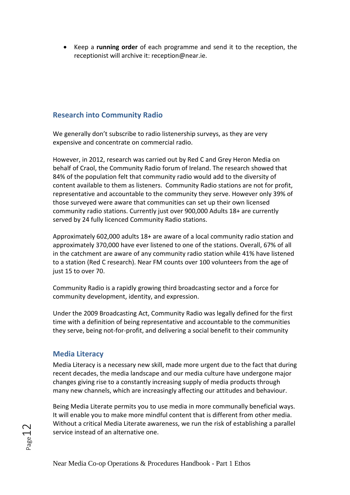• Keep a **running order** of each programme and send it to the reception, the receptionist will archive it: reception@near.ie.

## <span id="page-12-0"></span>**Research into Community Radio**

We generally don't subscribe to radio listenership surveys, as they are very expensive and concentrate on commercial radio.

However, in 2012, research was carried out by Red C and Grey Heron Media on behalf of Craol, the Community Radio forum of Ireland. The research showed that 84% of the population felt that community radio would add to the diversity of content available to them as listeners. Community Radio stations are not for profit, representative and accountable to the community they serve. However only 39% of those surveyed were aware that communities can set up their own licensed community radio stations. Currently just over 900,000 Adults 18+ are currently served by 24 fully licenced Community Radio stations.

Approximately 602,000 adults 18+ are aware of a local community radio station and approximately 370,000 have ever listened to one of the stations. Overall, 67% of all in the catchment are aware of any community radio station while 41% have listened to a station (Red C research). Near FM counts over 100 volunteers from the age of just 15 to over 70.

Community Radio is a rapidly growing third broadcasting sector and a force for community development, identity, and expression.

Under the 2009 Broadcasting Act, Community Radio was legally defined for the first time with a definition of being representative and accountable to the communities they serve, being not-for-profit, and delivering a social benefit to their community

## <span id="page-12-1"></span>**Media Literacy**

Media Literacy is a necessary new skill, made more urgent due to the fact that during recent decades, the media landscape and our media culture have undergone major changes giving rise to a constantly increasing supply of media products through many new channels, which are increasingly affecting our attitudes and behaviour.

Being Media Literate permits you to use media in more communally beneficial ways. It will enable you to make more mindful content that is different from other media. Without a critical Media Literate awareness, we run the risk of establishing a parallel service instead of an alternative one.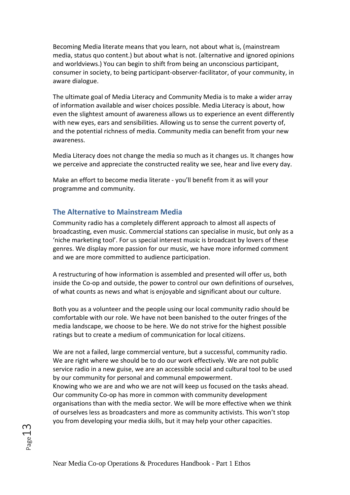Becoming Media literate means that you learn, not about what is, (mainstream media, status quo content.) but about what is not. (alternative and ignored opinions and worldviews.) You can begin to shift from being an unconscious participant, consumer in society, to being participant-observer-facilitator, of your community, in aware dialogue.

The ultimate goal of Media Literacy and Community Media is to make a wider array of information available and wiser choices possible. Media Literacy is about, how even the slightest amount of awareness allows us to experience an event differently with new eyes, ears and sensibilities. Allowing us to sense the current poverty of, and the potential richness of media. Community media can benefit from your new awareness.

Media Literacy does not change the media so much as it changes us. It changes how we perceive and appreciate the constructed reality we see, hear and live every day.

Make an effort to become media literate - you'll benefit from it as will your programme and community.

#### <span id="page-13-0"></span>**The Alternative to Mainstream Media**

Community radio has a completely different approach to almost all aspects of broadcasting, even music. Commercial stations can specialise in music, but only as a 'niche marketing tool'. For us special interest music is broadcast by lovers of these genres. We display more passion for our music, we have more informed comment and we are more committed to audience participation.

A restructuring of how information is assembled and presented will offer us, both inside the Co-op and outside, the power to control our own definitions of ourselves, of what counts as news and what is enjoyable and significant about our culture.

Both you as a volunteer and the people using our local community radio should be comfortable with our role. We have not been banished to the outer fringes of the media landscape, we choose to be here. We do not strive for the highest possible ratings but to create a medium of communication for local citizens.

We are not a failed, large commercial venture, but a successful, community radio. We are right where we should be to do our work effectively. We are not public service radio in a new guise, we are an accessible social and cultural tool to be used by our community for personal and communal empowerment. Knowing who we are and who we are not will keep us focused on the tasks ahead. Our community Co-op has more in common with community development organisations than with the media sector. We will be more effective when we think of ourselves less as broadcasters and more as community activists. This won't stop you from developing your media skills, but it may help your other capacities.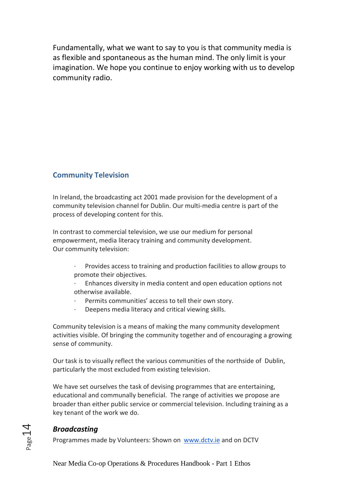Fundamentally, what we want to say to you is that community media is as flexible and spontaneous as the human mind. The only limit is your imagination. We hope you continue to enjoy working with us to develop community radio.

## <span id="page-14-0"></span>**Community Television**

In Ireland, the broadcasting act 2001 made provision for the development of a community television channel for Dublin. Our multi-media centre is part of the process of developing content for this.

In contrast to commercial television, we use our medium for personal empowerment, media literacy training and community development. Our community television:

- Provides access to training and production facilities to allow groups to promote their objectives.
- Enhances diversity in media content and open education options not otherwise available.
- Permits communities' access to tell their own story.
- · Deepens media literacy and critical viewing skills.

Community television is a means of making the many community development activities visible. Of bringing the community together and of encouraging a growing sense of community.

Our task is to visually reflect the various communities of the northside of Dublin, particularly the most excluded from existing television.

We have set ourselves the task of devising programmes that are entertaining, educational and communally beneficial. The range of activities we propose are broader than either public service or commercial television. Including training as a key tenant of the work we do.

## <span id="page-14-1"></span>*Broadcasting*

Programmes made by Volunteers: Shown on [www.dctv.ie](http://www.dctv.ie/) and on DCTV

Near Media Co-op Operations & Procedures Handbook - Part 1 Ethos

Page14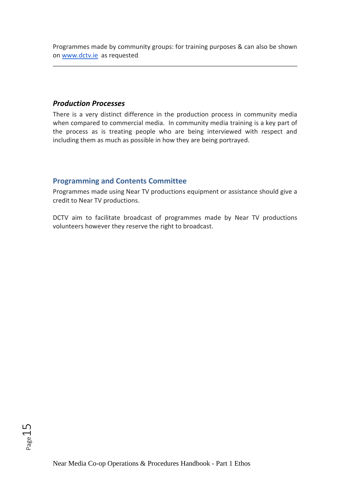Programmes made by community groups: for training purposes & can also be shown on [www.dctv.ie](http://www.dctv.ie/) as requested.

#### <span id="page-15-0"></span>*Production Processes*

There is a very distinct difference in the production process in community media when compared to commercial media. In community media training is a key part of the process as is treating people who are being interviewed with respect and including them as much as possible in how they are being portrayed.

## <span id="page-15-1"></span>**Programming and Contents Committee**

Programmes made using Near TV productions equipment or assistance should give a credit to Near TV productions.

<span id="page-15-2"></span>DCTV aim to facilitate broadcast of programmes made by Near TV productions volunteers however they reserve the right to broadcast.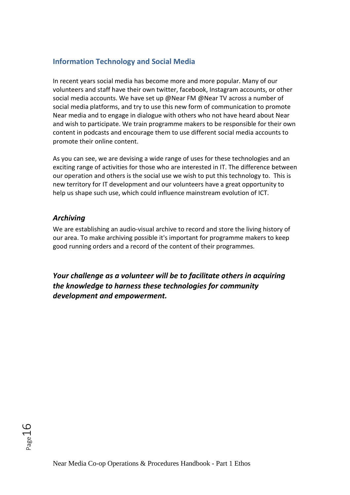## **Information Technology and Social Media**

In recent years social media has become more and more popular. Many of our volunteers and staff have their own twitter, facebook, Instagram accounts, or other social media accounts. We have set up @Near FM @Near TV across a number of social media platforms, and try to use this new form of communication to promote Near media and to engage in dialogue with others who not have heard about Near and wish to participate. We train programme makers to be responsible for their own content in podcasts and encourage them to use different social media accounts to promote their online content.

As you can see, we are devising a wide range of uses for these technologies and an exciting range of activities for those who are interested in IT. The difference between our operation and others is the social use we wish to put this technology to. This is new territory for IT development and our volunteers have a great opportunity to help us shape such use, which could influence mainstream evolution of ICT.

#### <span id="page-16-0"></span>*Archiving*

We are establishing an audio-visual archive to record and store the living history of our area. To make archiving possible it's important for programme makers to keep good running orders and a record of the content of their programmes.

*Your challenge as a volunteer will be to facilitate others in acquiring the knowledge to harness these technologies for community development and empowerment.*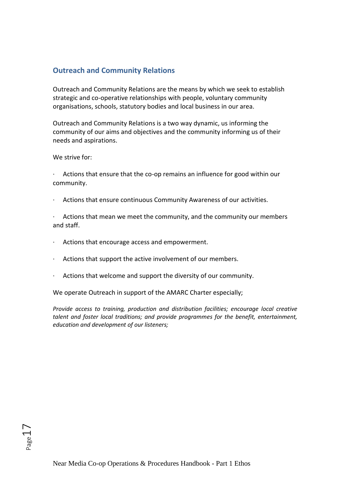## <span id="page-17-0"></span>**Outreach and Community Relations**

Outreach and Community Relations are the means by which we seek to establish strategic and co-operative relationships with people, voluntary community organisations, schools, statutory bodies and local business in our area.

Outreach and Community Relations is a two way dynamic, us informing the community of our aims and objectives and the community informing us of their needs and aspirations.

We strive for:

Actions that ensure that the co-op remains an influence for good within our community.

· Actions that ensure continuous Community Awareness of our activities.

· Actions that mean we meet the community, and the community our members and staff.

- · Actions that encourage access and empowerment.
- · Actions that support the active involvement of our members.
- · Actions that welcome and support the diversity of our community.

We operate Outreach in support of the AMARC Charter especially;

*Provide access to training, production and distribution facilities; encourage local creative talent and foster local traditions; and provide programmes for the benefit, entertainment, education and development of our listeners;*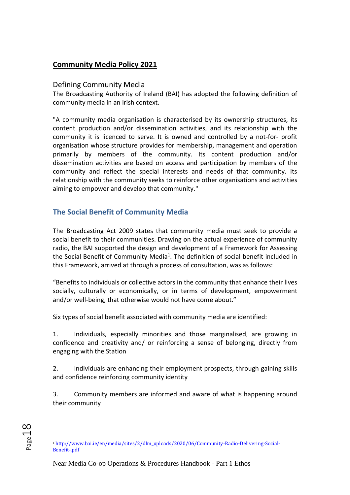## **Community Media Policy 2021**

## Defining Community Media

The Broadcasting Authority of Ireland (BAI) has adopted the following definition of community media in an Irish context.

"A community media organisation is characterised by its ownership structures, its content production and/or dissemination activities, and its relationship with the community it is licenced to serve. It is owned and controlled by a not-for- profit organisation whose structure provides for membership, management and operation primarily by members of the community. Its content production and/or dissemination activities are based on access and participation by members of the community and reflect the special interests and needs of that community. Its relationship with the community seeks to reinforce other organisations and activities aiming to empower and develop that community."

## <span id="page-18-0"></span>**The Social Benefit of Community Media**

The Broadcasting Act 2009 states that community media must seek to provide a social benefit to their communities. Drawing on the actual experience of community radio, the BAI supported the design and development of a Framework for Assessing the Social Benefit of Community Media<sup>1</sup>. The definition of social benefit included in this Framework, arrived at through a process of consultation, was as follows:

"Benefits to individuals or collective actors in the community that enhance their lives socially, culturally or economically, or in terms of development, empowerment and/or well-being, that otherwise would not have come about."

Six types of social benefit associated with community media are identified:

1. Individuals, especially minorities and those marginalised, are growing in confidence and creativity and/ or reinforcing a sense of belonging, directly from engaging with the Station

2. Individuals are enhancing their employment prospects, through gaining skills and confidence reinforcing community identity

3. Community members are informed and aware of what is happening around their community

<sup>1</sup> [http://www.bai.ie/en/media/sites/2/dlm\\_uploads/2020/06/Community-Radio-Delivering-Social-](http://www.bai.ie/en/media/sites/2/dlm_uploads/2020/06/Community-Radio-Delivering-Social-Benefit-.pdf)[Benefit-.pdf](http://www.bai.ie/en/media/sites/2/dlm_uploads/2020/06/Community-Radio-Delivering-Social-Benefit-.pdf)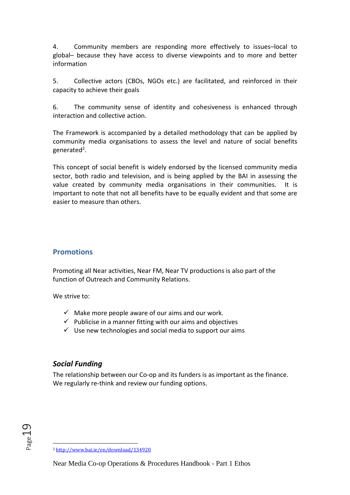4. Community members are responding more effectively to issues–local to global– because they have access to diverse viewpoints and to more and better information

5. Collective actors (CBOs, NGOs etc.) are facilitated, and reinforced in their capacity to achieve their goals

6. The community sense of identity and cohesiveness is enhanced through interaction and collective action.

The Framework is accompanied by a detailed methodology that can be applied by community media organisations to assess the level and nature of social benefits generated<sup>2</sup>.

This concept of social benefit is widely endorsed by the licensed community media sector, both radio and television, and is being applied by the BAI in assessing the value created by community media organisations in their communities. It is important to note that not all benefits have to be equally evident and that some are easier to measure than others.

## <span id="page-19-0"></span>**Promotions**

Promoting all Near activities, Near FM, Near TV productions is also part of the function of Outreach and Community Relations.

We strive to:

- $\checkmark$  Make more people aware of our aims and our work.
- $\checkmark$  Publicise in a manner fitting with our aims and objectives
- $\checkmark$  Use new technologies and social media to support our aims

## <span id="page-19-1"></span>*Social Funding*

The relationship between our Co-op and its funders is as important as the finance. We regularly re-think and review our funding options.

<sup>2</sup> <http://www.bai.ie/en/download/134920>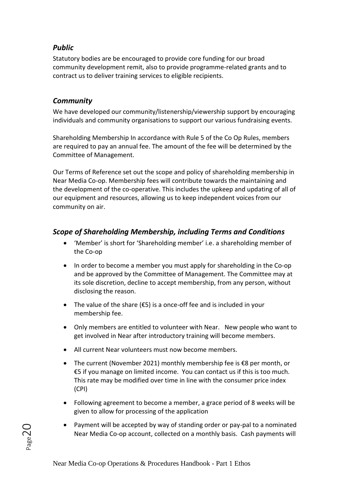## <span id="page-20-0"></span>*Public*

Statutory bodies are be encouraged to provide core funding for our broad community development remit, also to provide programme-related grants and to contract us to deliver training services to eligible recipients.

## <span id="page-20-1"></span>*Community*

Page20

We have developed our community/listenership/viewership support by encouraging individuals and community organisations to support our various fundraising events.

Shareholding Membership In accordance with Rule 5 of the Co Op Rules, members are required to pay an annual fee. The amount of the fee will be determined by the Committee of Management.

Our Terms of Reference set out the scope and policy of shareholding membership in Near Media Co-op. Membership fees will contribute towards the maintaining and the development of the co-operative. This includes the upkeep and updating of all of our equipment and resources, allowing us to keep independent voices from our community on air.

## <span id="page-20-2"></span>*Scope of Shareholding Membership, including Terms and Conditions*

- 'Member' is short for 'Shareholding member' i.e. a shareholding member of the Co-op
- In order to become a member you must apply for shareholding in the Co-op and be approved by the Committee of Management. The Committee may at its sole discretion, decline to accept membership, from any person, without disclosing the reason.
- The value of the share ( $\epsilon$ 5) is a once-off fee and is included in your membership fee.
- Only members are entitled to volunteer with Near. New people who want to get involved in Near after introductory training will become members.
- All current Near volunteers must now become members.
- The current (November 2021) monthly membership fee is €8 per month, or €5 if you manage on limited income. You can contact us if this is too much. This rate may be modified over time in line with the consumer price index (CPI)
- Following agreement to become a member, a grace period of 8 weeks will be given to allow for processing of the application
- Payment will be accepted by way of standing order or pay-pal to a nominated Near Media Co-op account, collected on a monthly basis. Cash payments will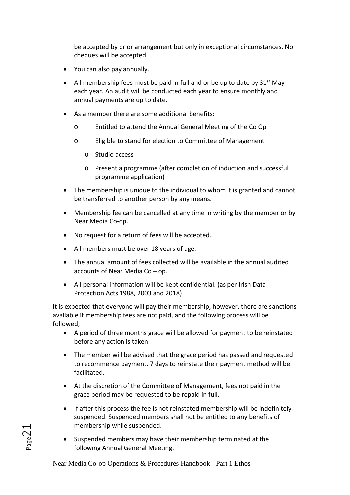be accepted by prior arrangement but only in exceptional circumstances. No cheques will be accepted.

- You can also pay annually.
- All membership fees must be paid in full and or be up to date by  $31^{st}$  May each year. An audit will be conducted each year to ensure monthly and annual payments are up to date.
- As a member there are some additional benefits:
	- o Entitled to attend the Annual General Meeting of the Co Op
	- o Eligible to stand for election to Committee of Management
		- o Studio access
		- o Present a programme (after completion of induction and successful programme application)
- The membership is unique to the individual to whom it is granted and cannot be transferred to another person by any means.
- Membership fee can be cancelled at any time in writing by the member or by Near Media Co-op.
- No request for a return of fees will be accepted.
- All members must be over 18 years of age.
- The annual amount of fees collected will be available in the annual audited accounts of Near Media Co – op*.*
- All personal information will be kept confidential. (as per Irish Data Protection Acts 1988, 2003 and 2018)

It is expected that everyone will pay their membership, however, there are sanctions available if membership fees are not paid, and the following process will be followed;

- A period of three months grace will be allowed for payment to be reinstated before any action is taken
- The member will be advised that the grace period has passed and requested to recommence payment. 7 days to reinstate their payment method will be facilitated.
- At the discretion of the Committee of Management, fees not paid in the grace period may be requested to be repaid in full.
- If after this process the fee is not reinstated membership will be indefinitely suspended. Suspended members shall not be entitled to any benefits of membership while suspended.
- Suspended members may have their membership terminated at the following Annual General Meeting.

Near Media Co-op Operations & Procedures Handbook - Part 1 Ethos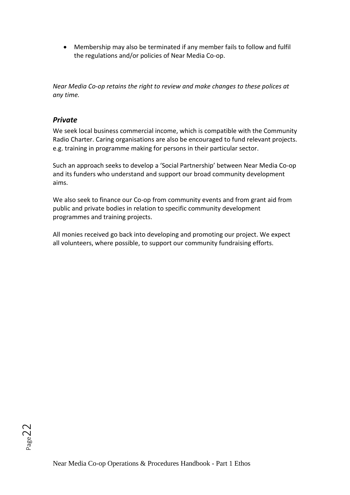• Membership may also be terminated if any member fails to follow and fulfil the regulations and/or policies of Near Media Co-op.

*Near Media Co-op retains the right to review and make changes to these polices at any time.*

## <span id="page-22-0"></span>*Private*

We seek local business commercial income, which is compatible with the Community Radio Charter. Caring organisations are also be encouraged to fund relevant projects. e.g. training in programme making for persons in their particular sector.

Such an approach seeks to develop a 'Social Partnership' between Near Media Co-op and its funders who understand and support our broad community development aims.

We also seek to finance our Co-op from community events and from grant aid from public and private bodies in relation to specific community development programmes and training projects.

All monies received go back into developing and promoting our project. We expect all volunteers, where possible, to support our community fundraising efforts.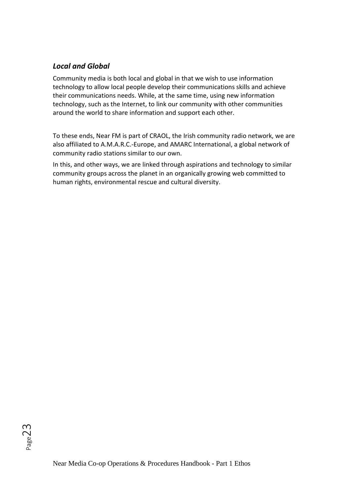## <span id="page-23-0"></span>*Local and Global*

Community media is both local and global in that we wish to use information technology to allow local people develop their communications skills and achieve their communications needs. While, at the same time, using new information technology, such as the Internet, to link our community with other communities around the world to share information and support each other.

To these ends, Near FM is part of CRAOL, the Irish community radio network, we are also affiliated to A.M.A.R.C.-Europe, and AMARC International, a global network of community radio stations similar to our own.

In this, and other ways, we are linked through aspirations and technology to similar community groups across the planet in an organically growing web committed to human rights, environmental rescue and cultural diversity.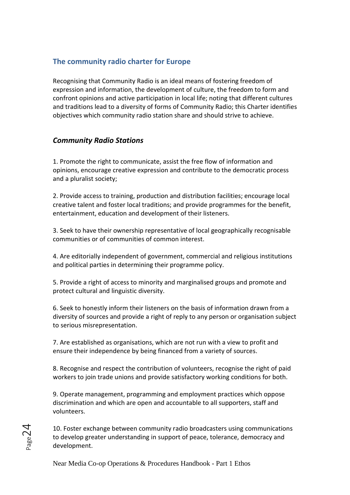## <span id="page-24-0"></span>**The community radio charter for Europe**

Recognising that Community Radio is an ideal means of fostering freedom of expression and information, the development of culture, the freedom to form and confront opinions and active participation in local life; noting that different cultures and traditions lead to a diversity of forms of Community Radio; this Charter identifies objectives which community radio station share and should strive to achieve.

## <span id="page-24-1"></span>*Community Radio Stations*

1. Promote the right to communicate, assist the free flow of information and opinions, encourage creative expression and contribute to the democratic process and a pluralist society;

2. Provide access to training, production and distribution facilities; encourage local creative talent and foster local traditions; and provide programmes for the benefit, entertainment, education and development of their listeners.

3. Seek to have their ownership representative of local geographically recognisable communities or of communities of common interest.

4. Are editorially independent of government, commercial and religious institutions and political parties in determining their programme policy.

5. Provide a right of access to minority and marginalised groups and promote and protect cultural and linguistic diversity.

6. Seek to honestly inform their listeners on the basis of information drawn from a diversity of sources and provide a right of reply to any person or organisation subject to serious misrepresentation.

7. Are established as organisations, which are not run with a view to profit and ensure their independence by being financed from a variety of sources.

8. Recognise and respect the contribution of volunteers, recognise the right of paid workers to join trade unions and provide satisfactory working conditions for both.

9. Operate management, programming and employment practices which oppose discrimination and which are open and accountable to all supporters, staff and volunteers.

10. Foster exchange between community radio broadcasters using communications to develop greater understanding in support of peace, tolerance, democracy and development.

Near Media Co-op Operations & Procedures Handbook - Part 1 Ethos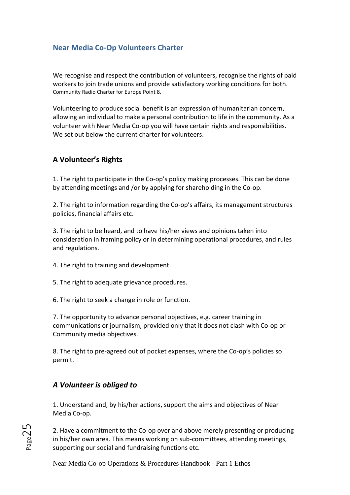## <span id="page-25-0"></span>**Near Media Co-Op Volunteers Charter**

We recognise and respect the contribution of volunteers, recognise the rights of paid workers to join trade unions and provide satisfactory working conditions for both. Community Radio Charter for Europe Point 8.

Volunteering to produce social benefit is an expression of humanitarian concern, allowing an individual to make a personal contribution to life in the community. As a volunteer with Near Media Co-op you will have certain rights and responsibilities. We set out below the current charter for volunteers.

## **A Volunteer's Rights**

1. The right to participate in the Co-op's policy making processes. This can be done by attending meetings and /or by applying for shareholding in the Co-op.

2. The right to information regarding the Co-op's affairs, its management structures policies, financial affairs etc.

3. The right to be heard, and to have his/her views and opinions taken into consideration in framing policy or in determining operational procedures, and rules and regulations.

4. The right to training and development.

5. The right to adequate grievance procedures.

6. The right to seek a change in role or function.

7. The opportunity to advance personal objectives, e.g. career training in communications or journalism, provided only that it does not clash with Co-op or Community media objectives.

8. The right to pre-agreed out of pocket expenses, where the Co-op's policies so permit.

## <span id="page-25-1"></span>*A Volunteer is obliged to*

1. Understand and, by his/her actions, support the aims and objectives of Near Media Co-op.

2. Have a commitment to the Co-op over and above merely presenting or producing in his/her own area. This means working on sub-committees, attending meetings, supporting our social and fundraising functions etc.

Near Media Co-op Operations & Procedures Handbook - Part 1 Ethos